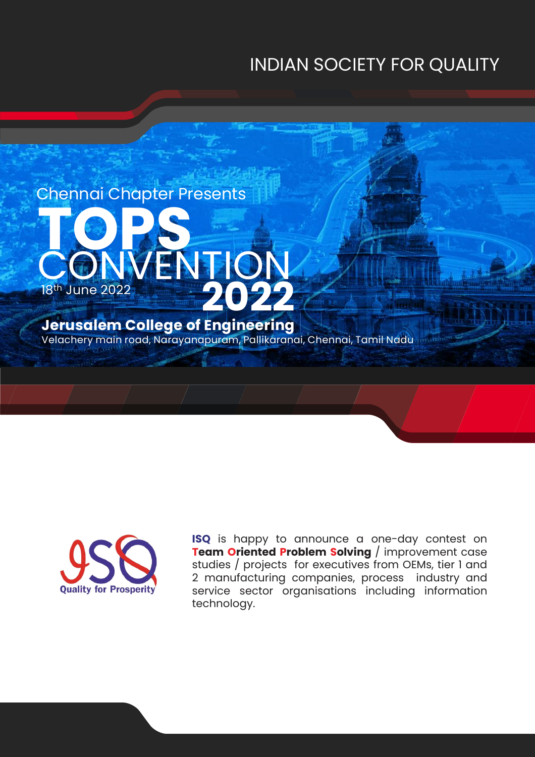# INDIAN SOCIETY FOR QUALITY





**ISQ** is happy to announce a one-day contest on **Team Oriented Problem Solving** / improvement case studies / projects for executives from OEMs, tier 1 and 2 manufacturing companies, process industry and service sector organisations including information technology.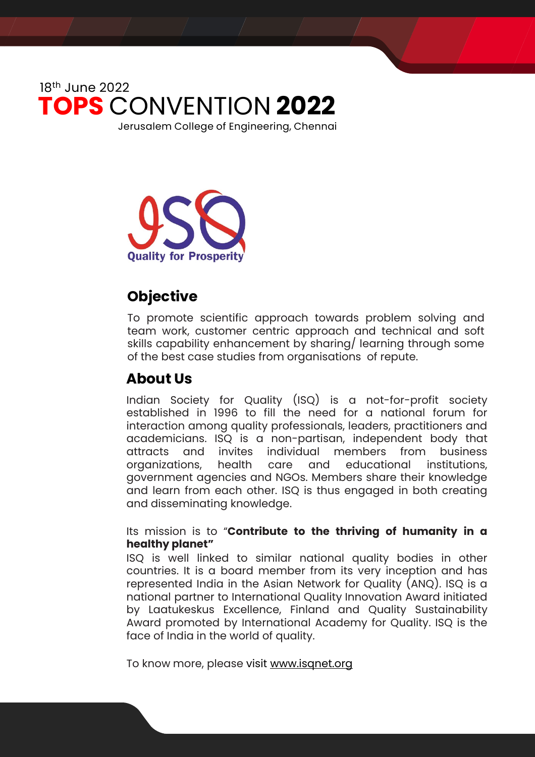

**Quality for Prosperi** 

# **Objective**

To promote scientific approach towards problem solving and team work, customer centric approach and technical and soft skills capability enhancement by sharing/ learning through some of the best case studies from organisations of repute.

### **About Us**

Indian Society for Quality (ISQ) is a not-for-profit society established in 1996 to fill the need for a national forum for interaction among quality professionals, leaders, practitioners and academicians. ISQ is a non-partisan, independent body that attracts and invites individual members from business organizations, health care and educational institutions, government agencies and NGOs. Members share their knowledge and learn from each other. ISQ is thus engaged in both creating and disseminating knowledge.

#### Its mission is to "**Contribute to the thriving of humanity in a healthy planet"**

ISQ is well linked to similar national quality bodies in other countries. It is a board member from its very inception and has represented India in the Asian Network for Quality (ANQ). ISQ is a national partner to International Quality Innovation Award initiated by Laatukeskus Excellence, Finland and Quality Sustainability Award promoted by International Academy for Quality. ISQ is the face of India in the world of quality.

To know more, please visit [www.isqnet.org](http://www.isqnet.org/)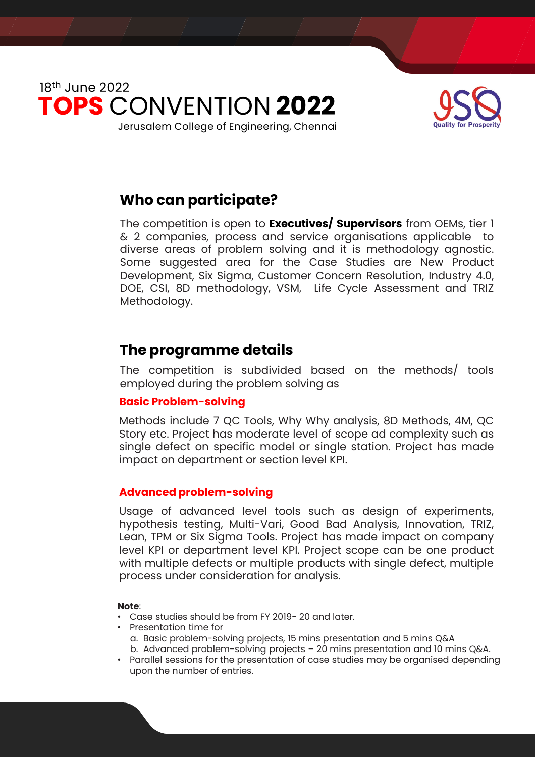



### **Who can participate?**

The competition is open to **Executives/ Supervisors** from OEMs, tier 1 & 2 companies, process and service organisations applicable to diverse areas of problem solving and it is methodology agnostic. Some suggested area for the Case Studies are New Product Development, Six Sigma, Customer Concern Resolution, Industry 4.0, DOE, CSI, 8D methodology, VSM, Life Cycle Assessment and TRIZ Methodology.

### **The programme details**

The competition is subdivided based on the methods/ tools employed during the problem solving as

#### **Basic Problem-solving**

Methods include 7 QC Tools, Why Why analysis, 8D Methods, 4M, QC Story etc. Project has moderate level of scope ad complexity such as single defect on specific model or single station. Project has made impact on department or section level KPI.

#### **Advanced problem-solving**

Usage of advanced level tools such as design of experiments, hypothesis testing, Multi-Vari, Good Bad Analysis, Innovation, TRIZ, Lean, TPM or Six Sigma Tools. Project has made impact on company level KPI or department level KPI. Project scope can be one product with multiple defects or multiple products with single defect, multiple process under consideration for analysis.

#### **Note**:

- Case studies should be from FY 2019- 20 and later.
- Presentation time for
	- a. Basic problem-solving projects, 15 mins presentation and 5 mins Q&A b. Advanced problem-solving projects – 20 mins presentation and 10 mins Q&A.
- Parallel sessions for the presentation of case studies may be organised depending upon the number of entries.